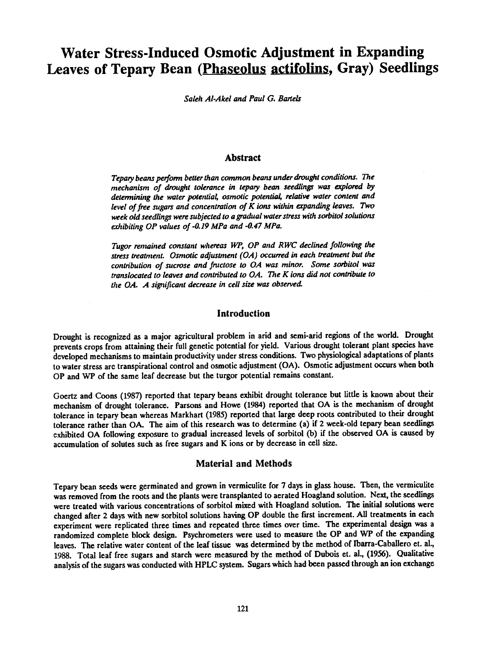# Water Stress-Induced Osmotic Adjustment in Expanding Leaves of Tepary Bean (Phaseolus actifolins, Gray) Seedlings

Saleh Al-Akel and Paul G. Bartels

# Abstract

Tepary beans perform better than common beans under drought conditions. The mechanism of drought tolerance in tepary bean seedlings was explored by determining the water potential, osmotic potential, relative water content and level of free sugars and concentration of K ions within expanding leaves. Two week old seedlings were subjected to a gradual water stress with sorbitol solutions exhibiting OP values of -0.19 MPa and -0.47 MPa.

Tugor remained constant whereas WP, OP and RWC declined following the stress treatment. Osmotic adjustment (OA) occurred in each treatment but the contribution of sucrose and fructose to OA was minor. Some sorbitol was translocated to leaves and contributed to OA. The K ions did not contribute to the OA. A significant decrease in cell size was observed

# Introduction

Drought is recognized as a major agricultural problem in arid and semi-arid regions of the world. Drought prevents crops from attaining their full genetic potential for yield. Various drought tolerant plant species have developed mechanisms to maintain productivity under stress conditions. Two physiological adaptations of plants to water stress are transpirational control and osmotic adjustment (OA). Osmotic adjustment occurswhen both OP and WP of the same leaf decrease but the turgor potential remains constant.

Goertz and Coons (1987) reported that tepary beans exhibit drought tolerance but little is known about their mechanism of drought tolerance. Parsons and Howe (1984) reported that OA is the mechanism of drought tolerance in tepary bean whereas Markhart (1985) reported that large deep roots contributed to their drought tolerance rather than OA. The aim of this research was to determine (a) if 2 week -old tepary bean seedlings exhibited OA following exposure to gradual increased levels of sorbitol (b) if the observed OA is caused by accumulation of solutes such as free sugars and K ions or by decrease in cell size.

## Material and Methods

Tepary bean seeds were germinated and grown in vermiculite for 7 days in glass house. Then, the vermiculite was removed from the roots and the plants were transplanted to aerated Hoagland solution. Next, the seedlings were treated with various concentrations of sorbitol mixed with Hoagland solution. The initial solutions were changed after 2 days with new sorbitol solutions having OP double the first increment. All treatments in each experiment were replicated three times and repeated three times over time. The experimental design was a randomized complete block design. Psychrometers were used to measure the OP and WP of the expanding leaves. The relative water content of the leaf tissue was determined by the method of Ibarra-Caballero et. al., 1988. Total leaf free sugars and starch were measured by the method of Dubois et. al., (1956). Qualitative analysis of the sugars was conducted with HPLC system. Sugars which had been passed through an ion exchange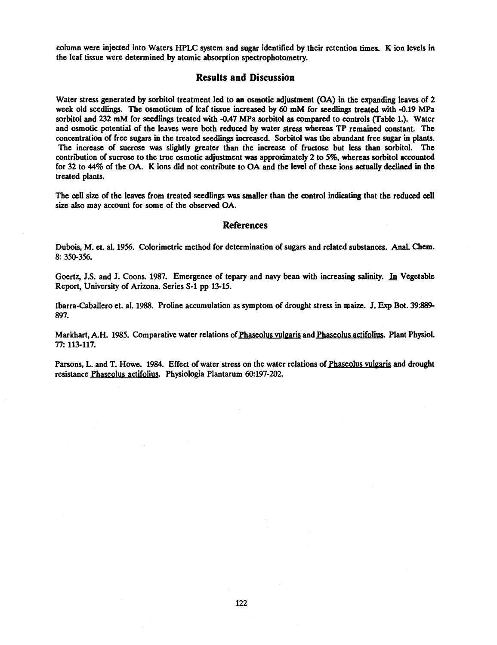column were injected into Waters HPLC system and sugar identified by their retention times. K ion levels in the leaf tissue were determined by atomic absorption spectrophotometry.

### Results and Discussion

Water stress generated by sorbitol treatment led to an osmotic adjustment (OA) in the expanding leaves of 2 week old seedlings. The osmoticum of leaf tissue increased by 60 mM for seedlings treated with -0.19 MPa sorbitol and 232 mM for seedlings treated with -0.47 MPa sorbitol as compared to controls (Table 1.). Water and osmotic potential of the leaves were both reduced by water stress whereas TP remained constant. The concentration of free sugars in the treated seedlings increased. Sorbitol was the abundant free sugar in plants. The increase of sucrose was slightly greater than the increase of fructose but less than sorbitol. The contribution of sucrose to the true osmotic adjustment was approximately 2 to 5%, whereas sorbitol accounted for 32 to 44% of the OA. K ions did not contribute to OA and the level of these ions actually declined in the treated plants.

The cell size of the leaves from treated seedlings was smaller than the control indicating that the reduced cell size also may account for some of the observed OA.

### References

Dubois, M. et. al. 1956. Colorimetric method for determination of sugars and related substances. Anal. Chem. 8: 350 -356.

Goertz, J.S. and J. Coons. 1987. Emergence of tepary and navy bean with increasing salinity. In Vegetable Report, University of Arizona. Series S-1 pp 13-15.

Ibarra- Caballero et. al. 1988. Proline accumulation as symptom of drought stress in maize. J. Exp Bot. 39:889- 897.

Markhart, A.H. 1985. Comparative water relations of Phaseolus vulgaris and Phaseolus actifolius. Plant Physiol. 77: 113 -117.

Parsons, L. and T. Howe. 1984. Effect of water stress on the water relations of Phaseolus vulgaris and drought resistance Phaseolus actifolius. Physiologia Plantarum 60:197-202.